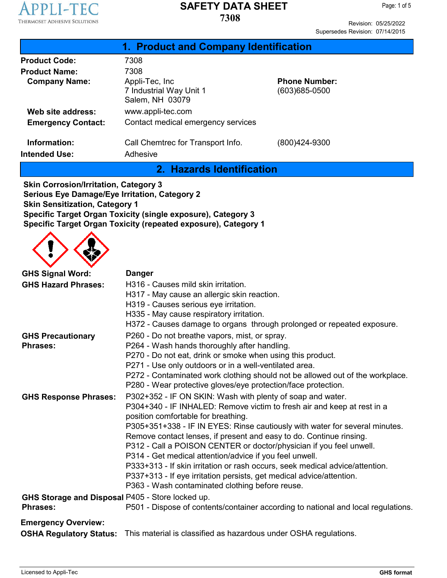

Revision: 05/25/2022 Supersedes Revision: 07/14/2015

| 1. Product and Company Identification                         |                                           |
|---------------------------------------------------------------|-------------------------------------------|
| 7308                                                          |                                           |
| 7308                                                          |                                           |
| Appli-Tec, Inc.<br>7 Industrial Way Unit 1<br>Salem, NH 03079 | <b>Phone Number:</b><br>$(603)685 - 0500$ |
| www.appli-tec.com                                             |                                           |
| Contact medical emergency services                            |                                           |
| Call Chemtrec for Transport Info.<br>Adhesive                 | (800)424-9300                             |
|                                                               |                                           |

**2. Hazards Identification**

**Skin Corrosion/Irritation, Category 3 Serious Eye Damage/Eye Irritation, Category 2 Skin Sensitization, Category 1 Specific Target Organ Toxicity (single exposure), Category 3 Specific Target Organ Toxicity (repeated exposure), Category 1**



| <b>GHS Signal Word:</b>                          | <b>Danger</b>                                                                     |  |  |
|--------------------------------------------------|-----------------------------------------------------------------------------------|--|--|
| <b>GHS Hazard Phrases:</b>                       | H316 - Causes mild skin irritation.                                               |  |  |
|                                                  | H317 - May cause an allergic skin reaction.                                       |  |  |
|                                                  | H319 - Causes serious eye irritation.                                             |  |  |
|                                                  | H335 - May cause respiratory irritation.                                          |  |  |
|                                                  | H372 - Causes damage to organs through prolonged or repeated exposure.            |  |  |
| <b>GHS Precautionary</b>                         | P260 - Do not breathe vapors, mist, or spray.                                     |  |  |
| <b>Phrases:</b>                                  | P264 - Wash hands thoroughly after handling.                                      |  |  |
|                                                  | P270 - Do not eat, drink or smoke when using this product.                        |  |  |
|                                                  | P271 - Use only outdoors or in a well-ventilated area.                            |  |  |
|                                                  | P272 - Contaminated work clothing should not be allowed out of the workplace.     |  |  |
|                                                  | P280 - Wear protective gloves/eye protection/face protection.                     |  |  |
| <b>GHS Response Phrases:</b>                     | P302+352 - IF ON SKIN: Wash with plenty of soap and water.                        |  |  |
|                                                  | P304+340 - IF INHALED: Remove victim to fresh air and keep at rest in a           |  |  |
|                                                  | position comfortable for breathing.                                               |  |  |
|                                                  | P305+351+338 - IF IN EYES: Rinse cautiously with water for several minutes.       |  |  |
|                                                  | Remove contact lenses, if present and easy to do. Continue rinsing.               |  |  |
|                                                  | P312 - Call a POISON CENTER or doctor/physician if you feel unwell.               |  |  |
|                                                  | P314 - Get medical attention/advice if you feel unwell.                           |  |  |
|                                                  | P333+313 - If skin irritation or rash occurs, seek medical advice/attention.      |  |  |
|                                                  | P337+313 - If eye irritation persists, get medical advice/attention.              |  |  |
|                                                  | P363 - Wash contaminated clothing before reuse.                                   |  |  |
| GHS Storage and Disposal P405 - Store locked up. |                                                                                   |  |  |
| <b>Phrases:</b>                                  | P501 - Dispose of contents/container according to national and local regulations. |  |  |
| <b>Emergency Overview:</b>                       |                                                                                   |  |  |
| <b>OSHA Regulatory Status:</b>                   | This material is classified as hazardous under OSHA regulations.                  |  |  |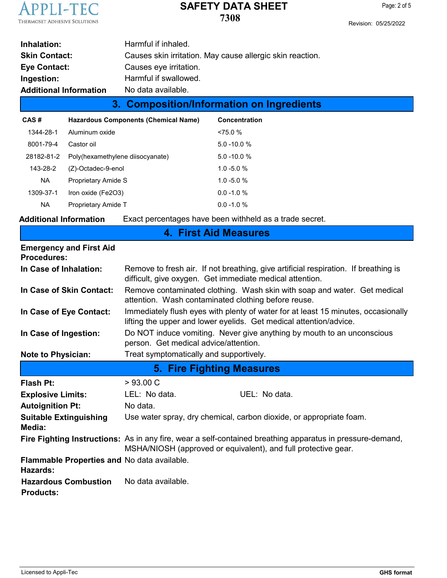

| CAS#                          | <b>Hazardous Components (Chemical Name)</b><br><b>Concentration</b> |  |
|-------------------------------|---------------------------------------------------------------------|--|
|                               | 3. Composition/Information on Ingredients                           |  |
| <b>Additional Information</b> | No data available.                                                  |  |
| Ingestion:                    | Harmful if swallowed.                                               |  |
| Eye Contact:                  | Causes eye irritation.                                              |  |
| <b>Skin Contact:</b>          | Causes skin irritation. May cause allergic skin reaction.           |  |
| Inhalation:                   | Harmful if inhaled.                                                 |  |

| 1344-28-1  | Aluminum oxide                   | ~14.75.0%      |
|------------|----------------------------------|----------------|
|            |                                  |                |
| 8001-79-4  | Castor oil                       | $5.0 - 10.0 %$ |
| 28182-81-2 | Poly(hexamethylene diisocyanate) | $5.0 - 10.0 %$ |
| 143-28-2   | (Z)-Octadec-9-enol               | $1.0 - 5.0 %$  |
| <b>NA</b>  | Proprietary Amide S              | $1.0 - 5.0 %$  |
| 1309-37-1  | Iron oxide (Fe2O3)               | $0.0 - 1.0 %$  |
| <b>NA</b>  | Proprietary Amide T              | $0.0 - 1.0 %$  |

**Additional Information** Exact percentages have been withheld as a trade secret.

| 4. First Aid Measures |
|-----------------------|
|-----------------------|

| <b>Emergency and First Aid</b><br><b>Procedures:</b>    |                                                                                                                                                                             |  |  |
|---------------------------------------------------------|-----------------------------------------------------------------------------------------------------------------------------------------------------------------------------|--|--|
| In Case of Inhalation:                                  | Remove to fresh air. If not breathing, give artificial respiration. If breathing is<br>difficult, give oxygen. Get immediate medical attention.                             |  |  |
| In Case of Skin Contact:                                | Remove contaminated clothing. Wash skin with soap and water. Get medical<br>attention. Wash contaminated clothing before reuse.                                             |  |  |
| In Case of Eye Contact:                                 | Immediately flush eyes with plenty of water for at least 15 minutes, occasionally<br>lifting the upper and lower eyelids. Get medical attention/advice.                     |  |  |
| In Case of Ingestion:                                   | Do NOT induce vomiting. Never give anything by mouth to an unconscious<br>person. Get medical advice/attention.                                                             |  |  |
| <b>Note to Physician:</b>                               | Treat symptomatically and supportively.                                                                                                                                     |  |  |
| 5. Fire Fighting Measures                               |                                                                                                                                                                             |  |  |
| <b>Flash Pt:</b>                                        | >93.00 C                                                                                                                                                                    |  |  |
| <b>Explosive Limits:</b>                                | UEL: No data.<br>LEL: No data.                                                                                                                                              |  |  |
| <b>Autoignition Pt:</b>                                 | No data.                                                                                                                                                                    |  |  |
| <b>Suitable Extinguishing</b><br>Media:                 | Use water spray, dry chemical, carbon dioxide, or appropriate foam.                                                                                                         |  |  |
|                                                         | Fire Fighting Instructions: As in any fire, wear a self-contained breathing apparatus in pressure-demand,<br>MSHA/NIOSH (approved or equivalent), and full protective gear. |  |  |
| Flammable Properties and No data available.<br>Hazards: |                                                                                                                                                                             |  |  |

**Hazardous Combustion** No data available.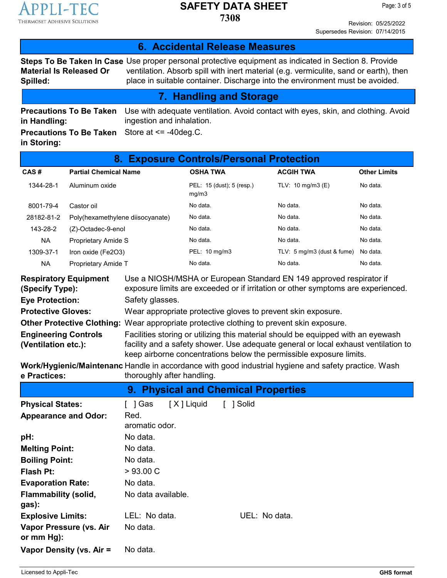

**7308**

Revision: 05/25/2022 Supersedes Revision: 07/14/2015

#### **6. Accidental Release Measures**

**Steps To Be Taken In Case** Use proper personal protective equipment as indicated in Section 8. Provide **Material Is Released Or Spilled:** ventilation. Absorb spill with inert material (e.g. vermiculite, sand or earth), then place in suitable container. Discharge into the environment must be avoided.

#### **7. Handling and Storage**

**Precautions To Be Taken in Handling:** Use with adequate ventilation. Avoid contact with eyes, skin, and clothing. Avoid ingestion and inhalation. Store at <= -40deg.C.

**Precautions To Be Taken in Storing:**

| <b>Exposure Controls/Personal Protection</b><br>8. |                                  |                                    |                              |                     |
|----------------------------------------------------|----------------------------------|------------------------------------|------------------------------|---------------------|
| CAS#                                               | <b>Partial Chemical Name</b>     | <b>OSHA TWA</b>                    | <b>ACGIH TWA</b>             | <b>Other Limits</b> |
| 1344-28-1                                          | Aluminum oxide                   | PEL: 15 (dust); 5 (resp.)<br>mq/m3 | TLV: $10 \text{ mg/m}$ 3 (E) | No data.            |
| 8001-79-4                                          | Castor oil                       | No data.                           | No data.                     | No data.            |
| 28182-81-2                                         | Poly(hexamethylene diisocyanate) | No data.                           | No data.                     | No data.            |
| 143-28-2                                           | (Z)-Octadec-9-enol               | No data.                           | No data.                     | No data.            |
| <b>NA</b>                                          | <b>Proprietary Amide S</b>       | No data.                           | No data.                     | No data.            |
| 1309-37-1                                          | Iron oxide (Fe2O3)               | PEL: 10 mg/m3                      | TLV: 5 mg/m3 (dust & fume)   | No data.            |
| <b>NA</b>                                          | Proprietary Amide T              | No data.                           | No data.                     | No data.            |

| <b>Respiratory Equipment</b><br>(Specify Type): | Use a NIOSH/MSHA or European Standard EN 149 approved respirator if<br>exposure limits are exceeded or if irritation or other symptoms are experienced.   |
|-------------------------------------------------|-----------------------------------------------------------------------------------------------------------------------------------------------------------|
| <b>Eye Protection:</b>                          | Safety glasses.                                                                                                                                           |
| <b>Protective Gloves:</b>                       | Wear appropriate protective gloves to prevent skin exposure.                                                                                              |
|                                                 | Other Protective Clothing: Wear appropriate protective clothing to prevent skin exposure.                                                                 |
| <b>Engineering Controls</b>                     | Facilities storing or utilizing this material should be equipped with an eyewash                                                                          |
| (Ventilation etc.):                             | facility and a safety shower. Use adequate general or local exhaust ventilation to<br>keep airborne concentrations below the permissible exposure limits. |

**Work/Hygienic/Maintenanc** Handle in accordance with good industrial hygiene and safety practice. Wash **e Practices:** thoroughly after handling.

|                                         | 9. Physical and Chemical Properties |             |               |
|-----------------------------------------|-------------------------------------|-------------|---------------|
| <b>Physical States:</b>                 | [X] Liquid<br>[]Gas                 | Solid<br>I. |               |
| <b>Appearance and Odor:</b>             | Red.<br>aromatic odor.              |             |               |
| pH:                                     | No data.                            |             |               |
| <b>Melting Point:</b>                   | No data.                            |             |               |
| <b>Boiling Point:</b>                   | No data.                            |             |               |
| <b>Flash Pt:</b>                        | >93.00 C                            |             |               |
| <b>Evaporation Rate:</b>                | No data.                            |             |               |
| <b>Flammability (solid,</b><br>gas):    | No data available.                  |             |               |
| <b>Explosive Limits:</b>                | LEL: No data.                       |             | UEL: No data. |
| Vapor Pressure (vs. Air<br>or $mm Hg$ : | No data.                            |             |               |
| Vapor Density (vs. Air =                | No data.                            |             |               |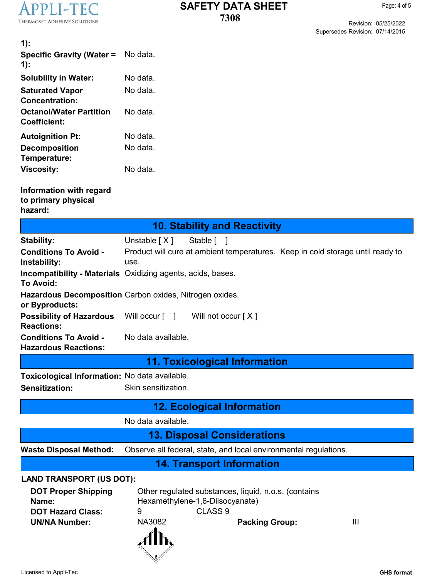

Page: 4 of 5

Revision: 05/25/2022 Supersedes Revision: 07/14/2015

| $1)$ :                                                                                  |                                                                                                                                          |
|-----------------------------------------------------------------------------------------|------------------------------------------------------------------------------------------------------------------------------------------|
| <b>Specific Gravity (Water =</b><br>$1)$ :                                              | No data.                                                                                                                                 |
| <b>Solubility in Water:</b>                                                             | No data.                                                                                                                                 |
| <b>Saturated Vapor</b><br><b>Concentration:</b>                                         | No data.                                                                                                                                 |
| <b>Octanol/Water Partition</b><br><b>Coefficient:</b>                                   | No data.                                                                                                                                 |
| <b>Autoignition Pt:</b>                                                                 | No data.                                                                                                                                 |
| <b>Decomposition</b><br>Temperature:                                                    | No data.                                                                                                                                 |
| <b>Viscosity:</b>                                                                       | No data.                                                                                                                                 |
| Information with regard<br>to primary physical<br>hazard:                               |                                                                                                                                          |
|                                                                                         | <b>10. Stability and Reactivity</b>                                                                                                      |
| <b>Stability:</b>                                                                       | Unstable $[X]$<br>Stable [ ]                                                                                                             |
| <b>Conditions To Avoid -</b><br>Instability:                                            | Product will cure at ambient temperatures. Keep in cold storage until ready to<br>use.                                                   |
| To Avoid:                                                                               | <b>Incompatibility - Materials</b> Oxidizing agents, acids, bases.                                                                       |
| or Byproducts:                                                                          | Hazardous Decomposition Carbon oxides, Nitrogen oxides.                                                                                  |
| <b>Possibility of Hazardous</b><br><b>Reactions:</b>                                    | Will occur $\lceil \quad \rceil$<br>Will not occur $[X]$                                                                                 |
| <b>Conditions To Avoid -</b><br><b>Hazardous Reactions:</b>                             | No data available.                                                                                                                       |
|                                                                                         | 11. Toxicological Information                                                                                                            |
| Toxicological Information: No data available.                                           |                                                                                                                                          |
| <b>Sensitization:</b>                                                                   | Skin sensitization.                                                                                                                      |
|                                                                                         | <b>12. Ecological Information</b>                                                                                                        |
|                                                                                         | No data available.                                                                                                                       |
|                                                                                         | <b>13. Disposal Considerations</b>                                                                                                       |
| <b>Waste Disposal Method:</b>                                                           | Observe all federal, state, and local environmental regulations.                                                                         |
|                                                                                         | <b>14. Transport Information</b>                                                                                                         |
| <b>LAND TRANSPORT (US DOT):</b>                                                         |                                                                                                                                          |
| <b>DOT Proper Shipping</b><br>Name:<br><b>DOT Hazard Class:</b><br><b>UN/NA Number:</b> | Other regulated substances, liquid, n.o.s. (contains<br>Hexamethylene-1,6-Diisocyanate)<br>CLASS <sub>9</sub><br>9<br><b>NA3082</b><br>Ш |
|                                                                                         | <b>Packing Group:</b>                                                                                                                    |
| Licensed to Appli-Tec                                                                   | <b>GHS format</b>                                                                                                                        |